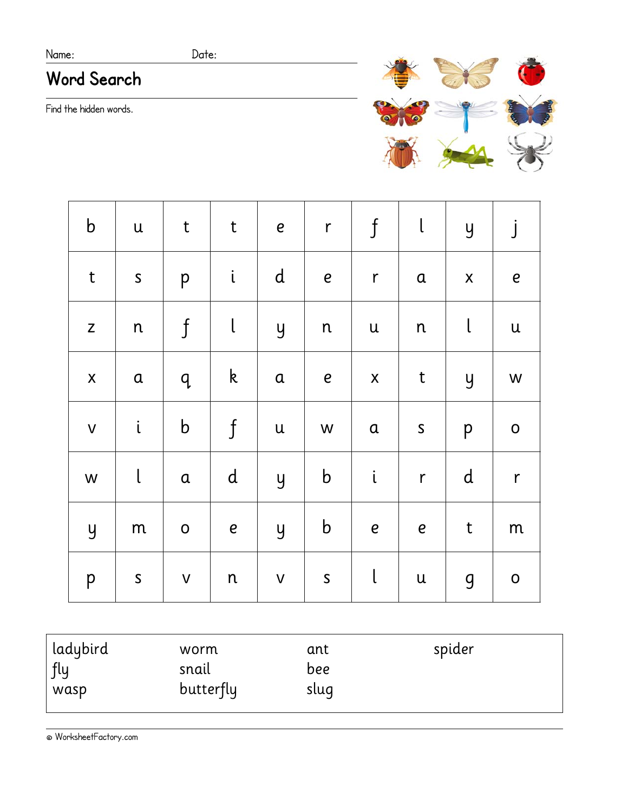### Name: Date:

# **Word Search**

Find the hidden words.



| $\mathbf b$    | $\mathsf{u}$                                                                              | $\ensuremath{\mathbf{t}}$ | $\sf t$        | $\mathbf{e}$              | $\mathsf r$  | $\boldsymbol{\mathsf{f}}$ | $\mathsf{l}$              | $\overline{y}$     | $\dot{J}$                 |
|----------------|-------------------------------------------------------------------------------------------|---------------------------|----------------|---------------------------|--------------|---------------------------|---------------------------|--------------------|---------------------------|
| $\mathsf{t}$   | $\mathsf{S}$                                                                              | p                         | $\mathfrak{i}$ | ${\bf d}$                 | $\pmb{e}$    | $\mathsf{r}$              | $\mathfrak a$             | $\pmb{\mathsf{X}}$ | $\boldsymbol{e}$          |
| $\mathsf Z$    | n                                                                                         | $\boldsymbol{\mathsf{f}}$ | $\mathsf{I}$   | $\overline{y}$            | n            | ${\bf u}$                 | $\mathsf{n}$              | $\mathbf{I}$       | $\ensuremath{\mathsf{u}}$ |
| $\mathsf X$    | $\mathbf a$                                                                               | q                         | $\mathsf k$    | $\mathfrak a$             | $\pmb{e}$    | $\pmb{\mathsf{X}}$        | $\sf t$                   | $\overline{y}$     | ${\mathsf W}$             |
| $\mathsf{V}$   | $\mathfrak{i}$                                                                            | $\mathsf b$               | $\mathfrak f$  | $\ensuremath{\mathsf{u}}$ | W            | $\mathbf a$               | $\mathsf{S}$              | p                  | $\mathsf O$               |
| W              | $\mathsf{L}% _{0}\left( \mathcal{N}\right) \equiv\mathsf{L}_{0}\left( \mathcal{N}\right)$ | $\mathfrak a$             | $\mathsf{d}$   | $\overline{y}$            | $\mathbf b$  | $\dot{\text{L}}$          | $\mathsf r$               | $\mathsf{d}$       | $\mathsf{r}$              |
| $\overline{y}$ | ${\sf m}$                                                                                 | $\mathsf O$               | $\pmb{e}$      | $\overline{y}$            | $\mathbf b$  | $\boldsymbol{e}$          | $\boldsymbol{e}$          | $\mathsf t$        | ${\sf m}$                 |
| p              | $\mathsf{S}$                                                                              | $\mathsf{V}$              | ${\mathsf n}$  | $\mathsf{V}$              | $\mathsf{S}$ | $\mathsf{I}$              | $\ensuremath{\mathsf{u}}$ | 9                  | $\mathsf O$               |

| ladybird<br>worm<br>fly<br>snail<br>butterfly<br>wasp | ant<br>bee<br>sluq | spider |  |
|-------------------------------------------------------|--------------------|--------|--|
|-------------------------------------------------------|--------------------|--------|--|

© WorksheetFactory.com